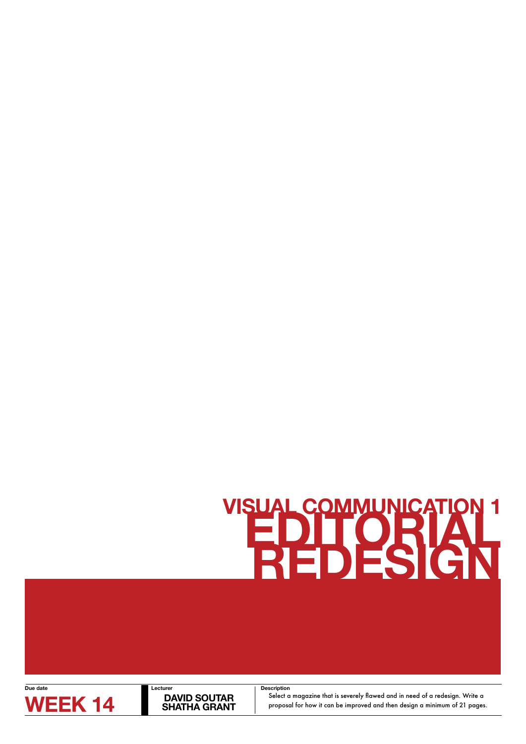# **VISUAL COMMUNICATION 1**<br> **EDITORIAL**



**DAVID SOUTAR<br>SHATHA GRANT** 

**WEEK 14** DAVID SOUTAR Select a magazine that is severely flawed and in need of a redesign. Write a SHATHA GRANT proposal for how it can be improved and then design a minimum of 21 pages. **Description**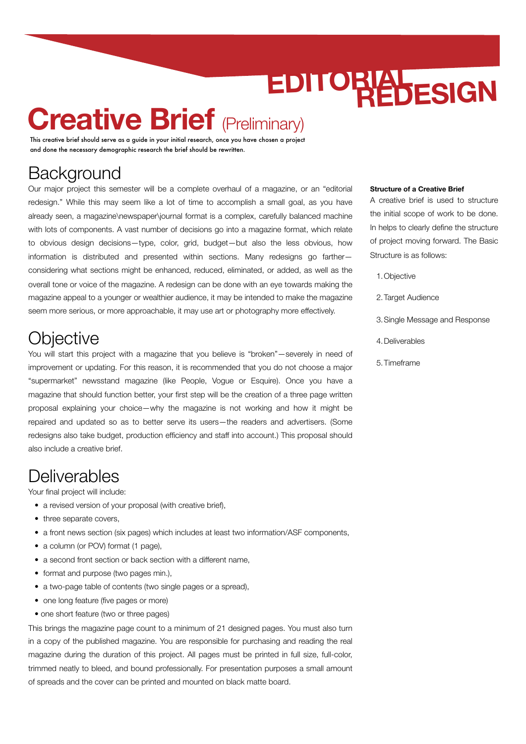## **Creative Brief (Preliminary)**

This creative brief should serve as a guide in your initial research, once you have chosen a project and done the necessary demographic research the brief should be rewritten.

### **Background**

Our major project this semester will be a complete overhaul of a magazine, or an "editorial redesign." While this may seem like a lot of time to accomplish a small goal, as you have already seen, a magazine\newspaper\journal format is a complex, carefully balanced machine with lots of components. A vast number of decisions go into a magazine format, which relate to obvious design decisions—type, color, grid, budget—but also the less obvious, how information is distributed and presented within sections. Many redesigns go farther considering what sections might be enhanced, reduced, eliminated, or added, as well as the overall tone or voice of the magazine. A redesign can be done with an eye towards making the magazine appeal to a younger or wealthier audience, it may be intended to make the magazine seem more serious, or more approachable, it may use art or photography more effectively.

### **Objective**

You will start this project with a magazine that you believe is "broken"—severely in need of improvement or updating. For this reason, it is recommended that you do not choose a major "supermarket" newsstand magazine (like People, Vogue or Esquire). Once you have a magazine that should function better, your first step will be the creation of a three page written proposal explaining your choice—why the magazine is not working and how it might be repaired and updated so as to better serve its users—the readers and advertisers. (Some redesigns also take budget, production efficiency and staff into account.) This proposal should also include a creative brief.

### **Deliverables**

Your final project will include:

- a revised version of your proposal (with creative brief),
- three separate covers.
- a front news section (six pages) which includes at least two information/ASF components,
- a column (or POV) format (1 page),
- a second front section or back section with a different name,
- format and purpose (two pages min.),
- a two-page table of contents (two single pages or a spread),
- one long feature (five pages or more)
- one short feature (two or three pages)

This brings the magazine page count to a minimum of 21 designed pages. You must also turn in a copy of the published magazine. You are responsible for purchasing and reading the real magazine during the duration of this project. All pages must be printed in full size, full-color, trimmed neatly to bleed, and bound professionally. For presentation purposes a small amount of spreads and the cover can be printed and mounted on black matte board.

#### **Structure of a Creative Brief**

A creative brief is used to structure the initial scope of work to be done. In helps to clearly define the structure of project moving forward. The Basic Structure is as follows:

- 1.Objective
- 2. Target Audience
- 3.Single Message and Response
- 4.Deliverables
- 5.Timeframe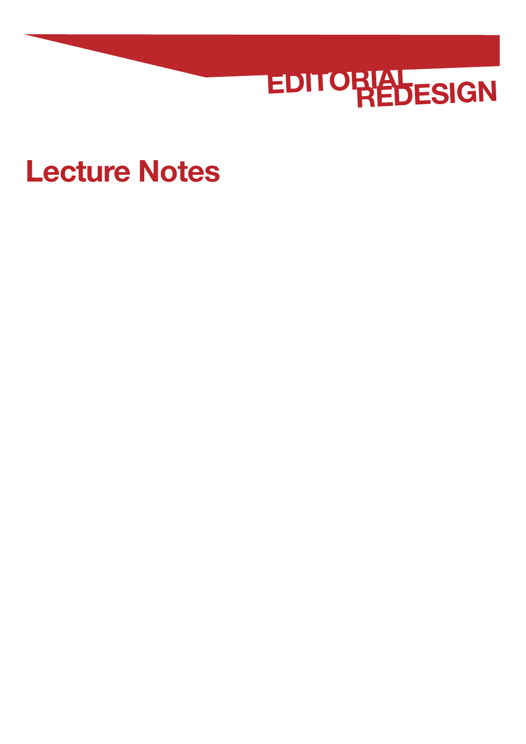

## **Lecture Notes**

- 
- 
- 
- -
- 
- - -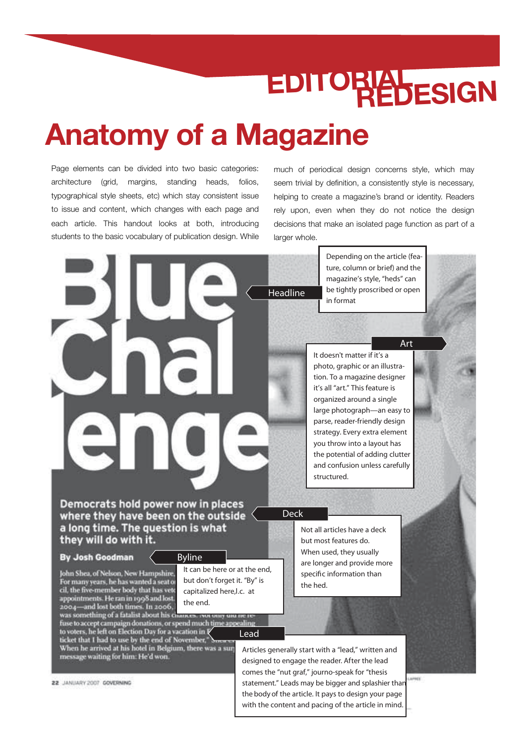## **Anatomy of a Magazine**

Page elements can be divided into two basic categories: architecture (grid, margins, standing heads, folios, typographical style sheets, etc) which stay consistent issue to issue and content, which changes with each page and each article. This handout looks at both, introducing students to the basic vocabulary of publication design. While

much of periodical design concerns style, which may seem trivial by definition, a consistently style is necessary, helping to create a magazine's brand or identity. Readers rely upon, even when they do not notice the design decisions that make an isolated page function as part of a larger whole.



Depending on the article (feature, column or brief) and the magazine's style, "heds" can be tightly proscribed or open in format

**Art**

It doesn't matter if it's a photo, graphic or an illustration. To a magazine designer it's all "art." This feature is organized around a single large photograph—an easy to parse, reader-friendly design strategy. Every extra element you throw into a layout has the potential of adding clutter and confusion unless carefully structured.

where they have been on the outside  $\leq$ a long time. The question is what they will do with it.

#### By Josh Goodman

John Shea, of Nelson, New Hampshire, For many years, he has wanted a seat of cil, the five-member body that has veto appointments. He ran in 1998 and lost. 2004-and lost both times. In 2006,

### was something of a fatalist about his chances. Not only one network<br>fuse to accept campaign donations, or spend much time appealing<br>to voters, he left on Election Day for a vacation in **Lead** ticket that I had to use by the end of November," Summers<br>When he arrived at his hotel in Belgium, there was a surp message waiting for him: He'd won.

22 JANUARY 2007 GOVERNING

It can be here or at the end, **Byline**

but don't forget it. "By" is capitalized here,**l.c.** at the end.

> Articles generally start with a "lead," written and designed to engage the reader. After the lead comes the "nut graf," journo-speak for "thesis statement." Leads may be bigger and splashier than the **body** of the article. It pays to design your page with the content and pacing of the article in mind.

Not all articles have a deck but most features do. When used, they usually are longer and provide more specific information than the hed.

ini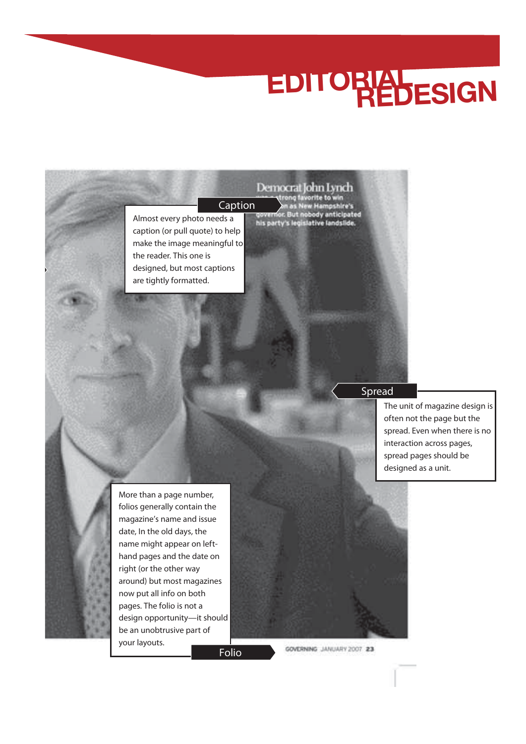Almost every photo needs a caption (or pull quote) to help make the image meaningful to the reader. This one is designed, but most captions are tightly formatted. **Caption**<br>Caption<br>Caption<br>Caption<br>of this party's legislative landslide.

**Spread**

The unit of magazine design is often not the page but the spread. Even when there is no interaction across pages, spread pages should be designed as a unit.

More than a page number, folios generally contain the magazine's name and issue date, In the old days, the name might appear on lefthand pages and the date on right (or the other way around) but most magazines now put all info on both pages. The folio is not a design opportunity—it should be an unobtrusive part of your layouts.

**Folio**

GOVERNING JANUARY 2007 23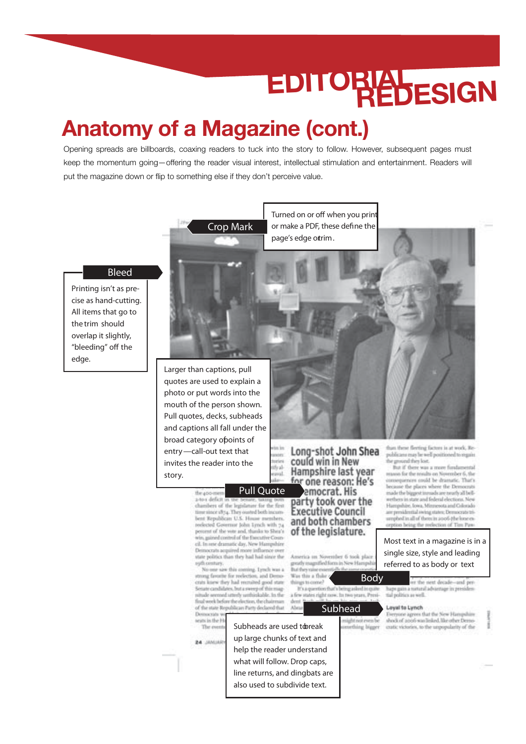### **Anatomy of a Magazine (cont.)**

Opening spreads are billboards, coaxing readers to tuck into the story to follow. However, subsequent pages must keep the momentum going—offering the reader visual interest, intellectual stimulation and entertainment. Readers will put the magazine down or flip to something else if they don't perceive value.

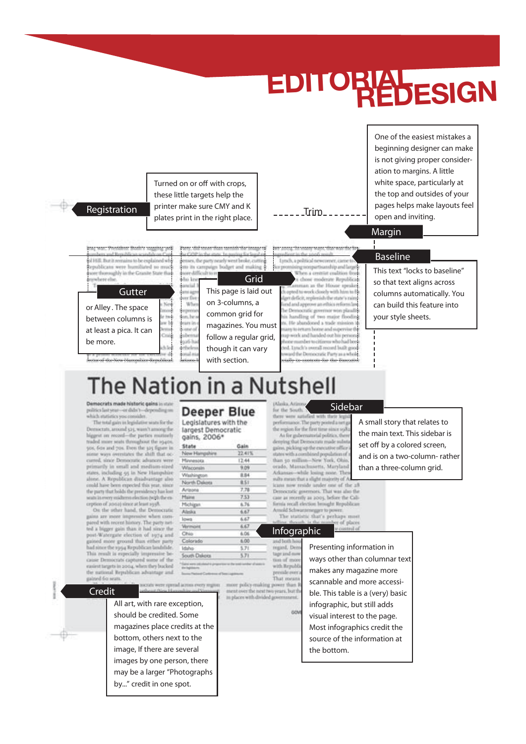

### The Nation in a Nutshell

 $\sim 1 -$ 

Democrats made historic gains in politics last year-or didn't-depending on<br>which statistics you consider.

The total gain in legislative wats for the Democrats, around 525, want't among the higgest on record-the parties mutinely<br>traded more seats throughout the 1940s. 50s, fits and 70s. Even the 325 figure curred, since Democratic advances we<br>primarily in small and medium-size states, including 55 in New Himpshi<br>alone. A Republican disadvantage al could have been expected this year, sin<br>the party that holds the presidency has lo<br>satisfaceovy midleren election puth the exption of 20104) since at least 1938.

On the other hand, the Democrat gains are more impressive when cor ared with recent history. The party is ted a bigger gain than it had since if post-Watergate election of 1974 at gained more ground than either par had since the 1954 Republican landslid This result is especially impressive 1 cause Democrats captured some of 11<br>easiest targets in 2004, when they buck tal Republican advan the n tage a gained 60 seats

#### **Deeper Blue**

with section.

Legislatures with the largest Democratic gains, 2006<sup>\*</sup>

| State         | Gain   |
|---------------|--------|
| New Hampshire | 22.41% |
| Minnesota .   | 12.44  |
| Wincomin      | 9.09   |
| Washington:   | 8.94   |
| North Dakota  | 8.51   |
| Artabha -     | 7.78   |
| Maine:        | 7.53   |
| Michigan      | 6.76   |
| <b>Alaska</b> | 6.67   |
| lows:         | 6.67   |
| Vermont       | 6.67   |
| Ohio:         | 6.06   |
| Colorado      | 6.00   |
| Idaha:        | 5.71   |
| South Dakota  | 5.71   |

#### **Sidebar** for the South. fied with th

and the Democratic Party as a whole

be an exercer for the For

er were sati performance. The party posted a test<br>the region for the first time since 193 As for gubernatorial politics, the<br>desping that Democrats made subgains, picking up the executive office<br>states with a combined population of than 30 million-New York, Obie orado, Massachusetts, Marylan Arkansas-while losing noise. The sults mean that a slight majority of A icans now reside under one of the al-Democratic governors. That was also the cate as recently as 2005, before the Cali-<br>firmis recall election brought Republican

A small story that relates to the main text. This sidebar is set off by a colored screen, and is on a two-column- rather

than a three-column grid.

Amold Schwarzenegger to power.<br>The statistic that's perhaps most **Infographic**

more policy making power

to places with divided go

and both regard, De Presenting information in tage and m tion of mo<br>with Repub That mea ment over the next two years, but t

**Credit**

All art, with rare exception, should be credited. Some magazines place credits at the bottom, others next to the image, If there are several images by one person, there may be a larger "Photographs by..." credit in one spot.

ways other than columnar text makes any magazine more scannable and more accessible. This table is a (very) basic infographic, but still adds visual interest to the page. Most infographics credit the source of the information at the bottom.

ber of place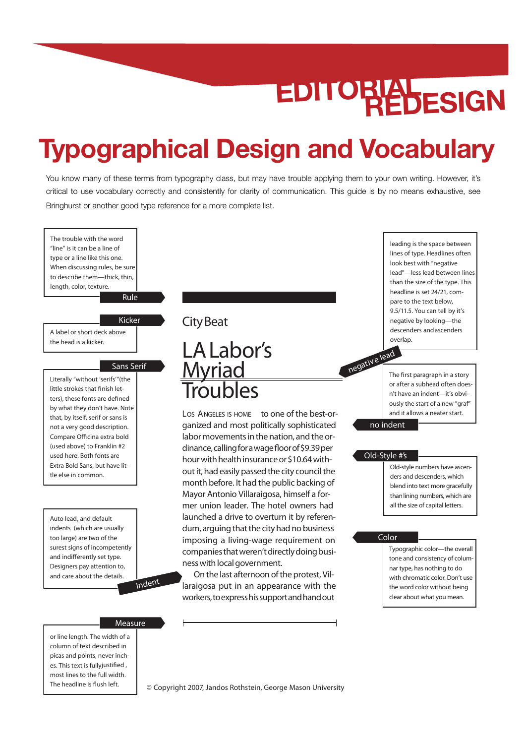### **Typographical Design and Vocabulary**

You know many of these terms from typography class, but may have trouble applying them to your own writing. However, it's critical to use vocabulary correctly and consistently for clarity of communication. This guide is by no means exhaustive, see Bringhurst or another good type reference for a more complete list.



© Copyright 2007, Jandos Rothstein, George Mason University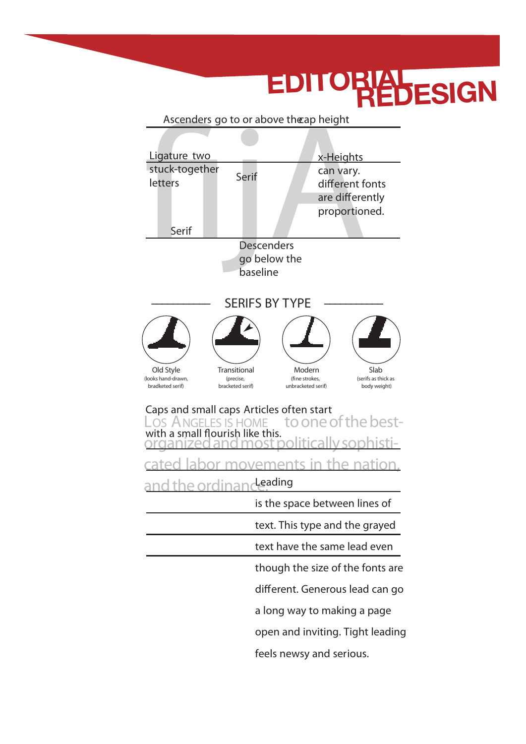#### Ascenders go to or above the ap height<br>
Ligature two<br>
stuck-together<br>
letters<br>
Serif<br>
Serif<br>
Descenders<br>
go below the<br>
proportion LOS ANGELES IS HOME tooneofthebestorganized and most political cated labor movements in the nation, and the ordina **Ligature** two stuck-together letters **Serif Serif Caps and small caps** Articles often start with a small flourish like this. **Leading** is the space between lines of text. This type and the grayed text have the same lead even though the size of the fonts are different. Generous lead can go a long way to making a page **Descenders** go below the **baseline x-Heights** can vary. different fonts are differently proportioned. **Ascenders** go to or above the**cap height** Old Style (looks hand-drawn, bradketed serif) Transitional (precise, bracketed serif) Modern (fine strokes, unbracketed serif) Slab (serifs asthick as body weight) **––––––––––– SERIFS BY TYPE –––––––––––**

open and inviting. Tight leading

feels newsy and serious.